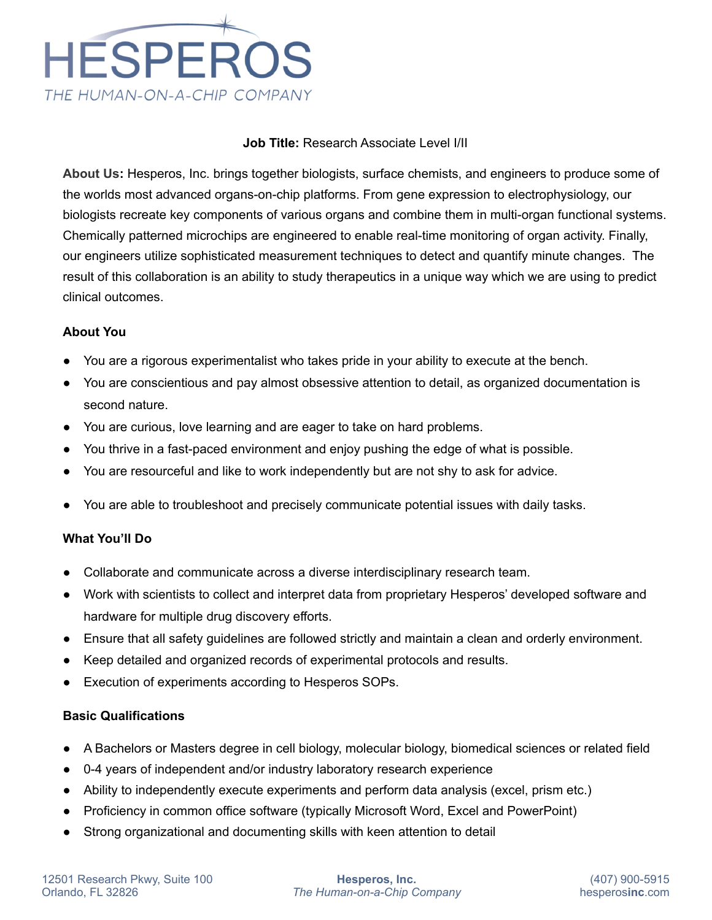

## **Job Title:** Research Associate Level I/II

**About Us:** Hesperos, Inc. brings together biologists, surface chemists, and engineers to produce some of the worlds most advanced organs-on-chip platforms. From gene expression to electrophysiology, our biologists recreate key components of various organs and combine them in multi-organ functional systems. Chemically patterned microchips are engineered to enable real-time monitoring of organ activity. Finally, our engineers utilize sophisticated measurement techniques to detect and quantify minute changes. The result of this collaboration is an ability to study therapeutics in a unique way which we are using to predict clinical outcomes.

## **About You**

- You are a rigorous experimentalist who takes pride in your ability to execute at the bench.
- You are conscientious and pay almost obsessive attention to detail, as organized documentation is second nature.
- You are curious, love learning and are eager to take on hard problems.
- You thrive in a fast-paced environment and enjoy pushing the edge of what is possible.
- You are resourceful and like to work independently but are not shy to ask for advice.
- You are able to troubleshoot and precisely communicate potential issues with daily tasks.

### **What You'll Do**

- Collaborate and communicate across a diverse interdisciplinary research team.
- Work with scientists to collect and interpret data from proprietary Hesperos' developed software and hardware for multiple drug discovery efforts.
- Ensure that all safety guidelines are followed strictly and maintain a clean and orderly environment.
- Keep detailed and organized records of experimental protocols and results.
- Execution of experiments according to Hesperos SOPs.

## **Basic Qualifications**

- A Bachelors or Masters degree in cell biology, molecular biology, biomedical sciences or related field
- 0-4 years of independent and/or industry laboratory research experience
- Ability to independently execute experiments and perform data analysis (excel, prism etc.)
- Proficiency in common office software (typically Microsoft Word, Excel and PowerPoint)
- Strong organizational and documenting skills with keen attention to detail